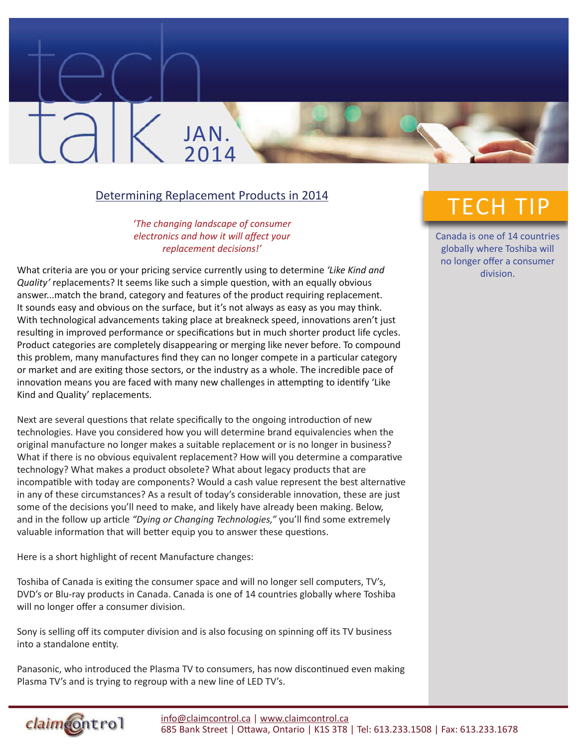## Determining Replacement Products in 2014

JAN.

2014

## *'The changing landscape of consumer electronics and how it will affect your replacement decisions!'*

What criteria are you or your pricing service currently using to determine *'Like Kind and Quality'* replacements? It seems like such a simple question, with an equally obvious answer...match the brand, category and features of the product requiring replacement. It sounds easy and obvious on the surface, but it's not always as easy as you may think. With technological advancements taking place at breakneck speed, innovations aren't just resulting in improved performance or specifications but in much shorter product life cycles. Product categories are completely disappearing or merging like never before. To compound this problem, many manufactures find they can no longer compete in a particular category or market and are exiting those sectors, or the industry as a whole. The incredible pace of innovation means you are faced with many new challenges in attempting to identify 'Like Kind and Quality' replacements.

Next are several questions that relate specifically to the ongoing introduction of new technologies. Have you considered how you will determine brand equivalencies when the original manufacture no longer makes a suitable replacement or is no longer in business? What if there is no obvious equivalent replacement? How will you determine a comparative technology? What makes a product obsolete? What about legacy products that are incompatible with today are components? Would a cash value represent the best alternative in any of these circumstances? As a result of today's considerable innovation, these are just some of the decisions you'll need to make, and likely have already been making. Below, and in the follow up article *"Dying or Changing Technologies,"* you'll find some extremely valuable information that will better equip you to answer these questions.

Here is a short highlight of recent Manufacture changes:

Toshiba of Canada is exiting the consumer space and will no longer sell computers, TV's, DVD's or Blu-ray products in Canada. Canada is one of 14 countries globally where Toshiba will no longer offer a consumer division.

Sony is selling off its computer division and is also focusing on spinning off its TV business into a standalone entity.

Panasonic, who introduced the Plasma TV to consumers, has now discontinued even making Plasma TV's and is trying to regroup with a new line of LED TV's.

## TECH TIP

Canada is one of 14 countries globally where Toshiba will no longer offer a consumer division.

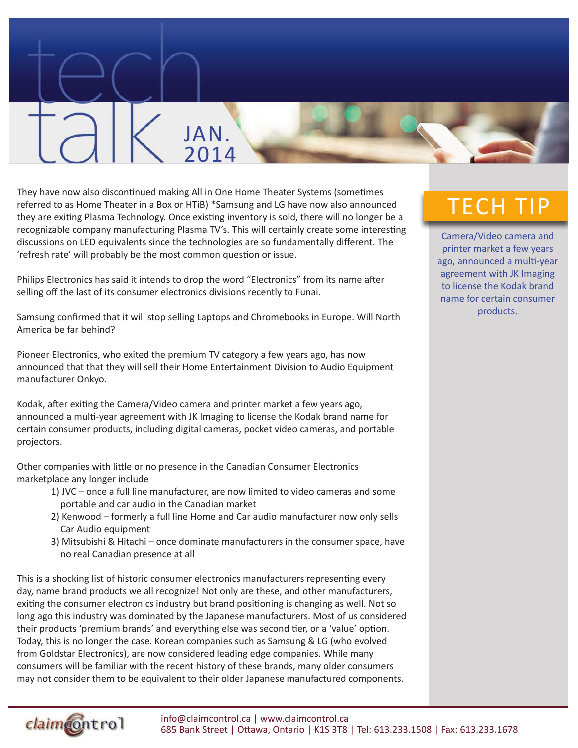

They have now also discontinued making All in One Home Theater Systems (sometimes referred to as Home Theater in a Box or HTiB) \*Samsung and LG have now also announced they are exiting Plasma Technology. Once existing inventory is sold, there will no longer be a recognizable company manufacturing Plasma TV's. This will certainly create some interesting discussions on LED equivalents since the technologies are so fundamentally different. The 'refresh rate' will probably be the most common question or issue.

Philips Electronics has said it intends to drop the word "Electronics" from its name after selling off the last of its consumer electronics divisions recently to Funai.

Samsung confirmed that it will stop selling Laptops and Chromebooks in Europe. Will North America be far behind?

Pioneer Electronics, who exited the premium TV category a few years ago, has now announced that that they will sell their Home Entertainment Division to Audio Equipment manufacturer Onkyo.

Kodak, after exiting the Camera/Video camera and printer market a few years ago, announced a multi-year agreement with JK Imaging to license the Kodak brand name for certain consumer products, including digital cameras, pocket video cameras, and portable projectors.

Other companies with little or no presence in the Canadian Consumer Electronics marketplace any longer include

- 1) JVC once a full line manufacturer, are now limited to video cameras and some portable and car audio in the Canadian market
- 2) Kenwood formerly a full line Home and Car audio manufacturer now only sells Car Audio equipment
- 3) Mitsubishi & Hitachi once dominate manufacturers in the consumer space, have no real Canadian presence at all

This is a shocking list of historic consumer electronics manufacturers representing every day, name brand products we all recognize! Not only are these, and other manufacturers, exiting the consumer electronics industry but brand positioning is changing as well. Not so long ago this industry was dominated by the Japanese manufacturers. Most of us considered their products 'premium brands' and everything else was second tier, or a 'value' option. Today, this is no longer the case. Korean companies such as Samsung & LG (who evolved from Goldstar Electronics), are now considered leading edge companies. While many consumers will be familiar with the recent history of these brands, many older consumers may not consider them to be equivalent to their older Japanese manufactured components.

## TECH TIP

Camera/Video camera and printer market a few years ago, announced a multi-year agreement with JK Imaging to license the Kodak brand name for certain consumer products.